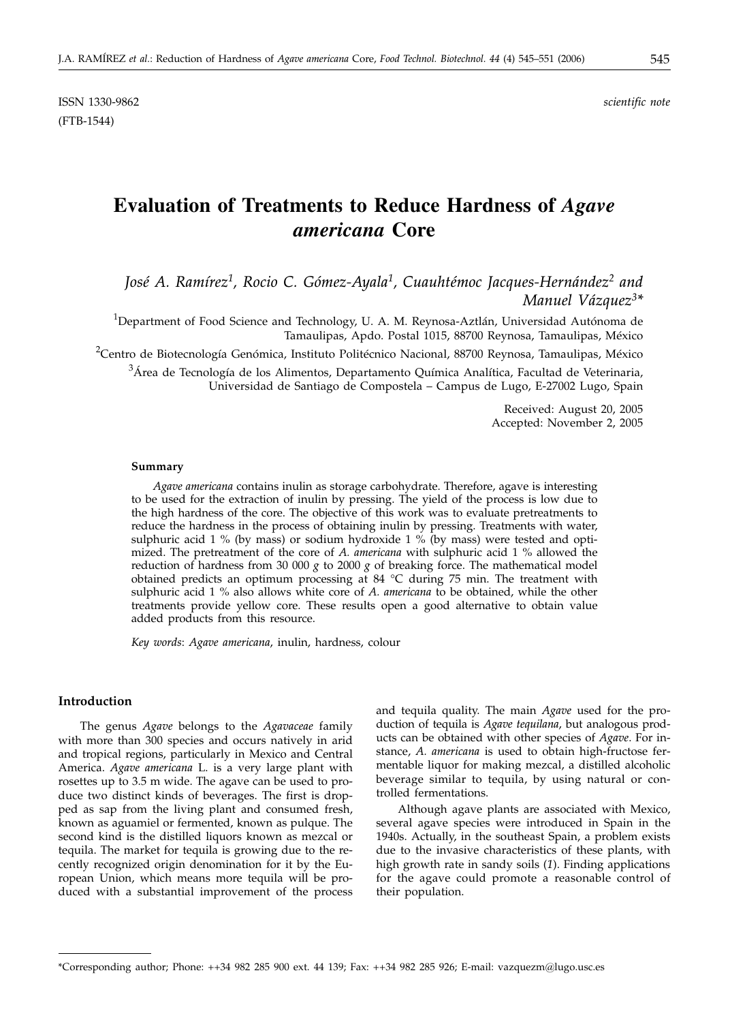ISSN 1330-9862 *scientific note* (FTB-1544)

# **Evaluation of Treatments to Reduce Hardness of** *Agave americana* **Core**

*José A. Ramírez1, Rocio C. Gómez-Ayala1, Cuauhtémoc Jacques-Hernández2 and Manuel Vázquez3\**

 $^{\rm 1}$ Department of Food Science and Technology, U. A. M. Reynosa-Aztlán, Universidad Autónoma de Tamaulipas, Apdo. Postal 1015, 88700 Reynosa, Tamaulipas, México

<sup>2</sup>Centro de Biotecnología Genómica, Instituto Politécnico Nacional, 88700 Reynosa, Tamaulipas, México

 $^3$ Área de Tecnología de los Alimentos, Departamento Química Analítica, Facultad de Veterinaria, Universidad de Santiago de Compostela – Campus de Lugo, E-27002 Lugo, Spain

> Received: August 20, 2005 Accepted: November 2, 2005

#### **Summary**

*Agave americana* contains inulin as storage carbohydrate. Therefore, agave is interesting to be used for the extraction of inulin by pressing. The yield of the process is low due to the high hardness of the core. The objective of this work was to evaluate pretreatments to reduce the hardness in the process of obtaining inulin by pressing. Treatments with water, sulphuric acid 1 % (by mass) or sodium hydroxide 1 % (by mass) were tested and optimized. The pretreatment of the core of *A. americana* with sulphuric acid 1 % allowed the reduction of hardness from 30 000  $g$  to 2000  $g$  of breaking force. The mathematical model obtained predicts an optimum processing at 84 °C during 75 min. The treatment with sulphuric acid 1 % also allows white core of *A. americana* to be obtained, while the other treatments provide yellow core. These results open a good alternative to obtain value added products from this resource.

*Key words*: *Agave americana*, inulin, hardness, colour

## **Introduction**

The genus *Agave* belongs to the *Agavaceae* family with more than 300 species and occurs natively in arid and tropical regions, particularly in Mexico and Central America. *Agave americana* L. is a very large plant with rosettes up to 3.5 m wide. The agave can be used to produce two distinct kinds of beverages. The first is dropped as sap from the living plant and consumed fresh, known as aguamiel or fermented, known as pulque. The second kind is the distilled liquors known as mezcal or tequila. The market for tequila is growing due to the recently recognized origin denomination for it by the European Union, which means more tequila will be produced with a substantial improvement of the process

and tequila quality. The main *Agave* used for the production of tequila is *Agave tequilana*, but analogous products can be obtained with other species of *Agave*. For instance, *A. americana* is used to obtain high-fructose fermentable liquor for making mezcal, a distilled alcoholic beverage similar to tequila, by using natural or controlled fermentations.

Although agave plants are associated with Mexico, several agave species were introduced in Spain in the 1940s. Actually, in the southeast Spain, a problem exists due to the invasive characteristics of these plants, with high growth rate in sandy soils (*1*). Finding applications for the agave could promote a reasonable control of their population.

<sup>\*</sup>Corresponding author; Phone: ++34 982 285 900 ext. 44 139; Fax: ++34 982 285 926; E-mail: vazquezm@lugo.usc.es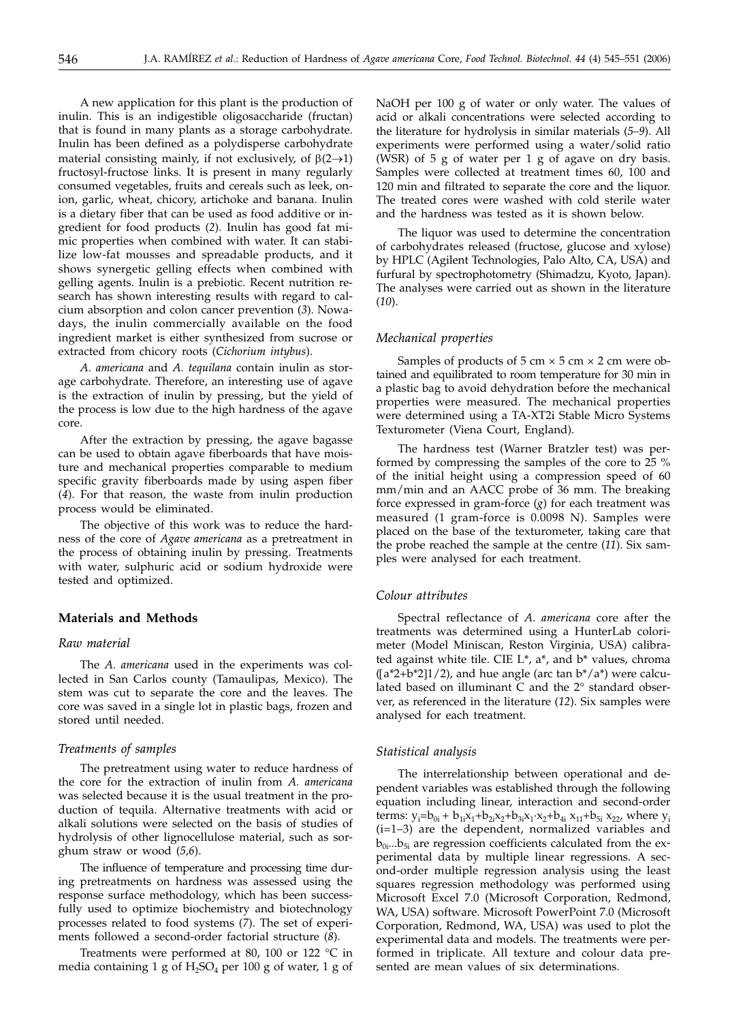A new application for this plant is the production of inulin. This is an indigestible oligosaccharide (fructan) that is found in many plants as a storage carbohydrate. Inulin has been defined as a polydisperse carbohydrate material consisting mainly, if not exclusively, of  $\beta(2\rightarrow 1)$ fructosyl-fructose links. It is present in many regularly consumed vegetables, fruits and cereals such as leek, onion, garlic, wheat, chicory, artichoke and banana. Inulin is a dietary fiber that can be used as food additive or ingredient for food products (*2*). Inulin has good fat mimic properties when combined with water. It can stabilize low-fat mousses and spreadable products, and it shows synergetic gelling effects when combined with gelling agents. Inulin is a prebiotic. Recent nutrition research has shown interesting results with regard to calcium absorption and colon cancer prevention (*3*). Nowadays, the inulin commercially available on the food ingredient market is either synthesized from sucrose or extracted from chicory roots (*Cichorium intybus*).

*A. americana* and *A. tequilana* contain inulin as storage carbohydrate. Therefore, an interesting use of agave is the extraction of inulin by pressing, but the yield of the process is low due to the high hardness of the agave core.

After the extraction by pressing, the agave bagasse can be used to obtain agave fiberboards that have moisture and mechanical properties comparable to medium specific gravity fiberboards made by using aspen fiber (*4*). For that reason, the waste from inulin production process would be eliminated.

The objective of this work was to reduce the hardness of the core of *Agave americana* as a pretreatment in the process of obtaining inulin by pressing. Treatments with water, sulphuric acid or sodium hydroxide were tested and optimized.

## **Materials and Methods**

# *Raw material*

The *A. americana* used in the experiments was collected in San Carlos county (Tamaulipas, Mexico). The stem was cut to separate the core and the leaves. The core was saved in a single lot in plastic bags, frozen and stored until needed.

#### *Treatments of samples*

The pretreatment using water to reduce hardness of the core for the extraction of inulin from *A. americana* was selected because it is the usual treatment in the production of tequila. Alternative treatments with acid or alkali solutions were selected on the basis of studies of hydrolysis of other lignocellulose material, such as sorghum straw or wood (*5*,*6*).

The influence of temperature and processing time during pretreatments on hardness was assessed using the response surface methodology, which has been successfully used to optimize biochemistry and biotechnology processes related to food systems (*7*). The set of experiments followed a second-order factorial structure (*8*).

Treatments were performed at 80, 100 or 122 °C in media containing 1 g of  $H_2SO_4$  per 100 g of water, 1 g of NaOH per 100 g of water or only water. The values of acid or alkali concentrations were selected according to the literature for hydrolysis in similar materials (*5–9*). All experiments were performed using a water/solid ratio (WSR) of 5 g of water per 1 g of agave on dry basis. Samples were collected at treatment times 60, 100 and 120 min and filtrated to separate the core and the liquor. The treated cores were washed with cold sterile water and the hardness was tested as it is shown below.

The liquor was used to determine the concentration of carbohydrates released (fructose, glucose and xylose) by HPLC (Agilent Technologies, Palo Alto, CA, USA) and furfural by spectrophotometry (Shimadzu, Kyoto, Japan). The analyses were carried out as shown in the literature (*10*).

## *Mechanical properties*

Samples of products of  $5 \text{ cm} \times 5 \text{ cm} \times 2 \text{ cm}$  were obtained and equilibrated to room temperature for 30 min in a plastic bag to avoid dehydration before the mechanical properties were measured. The mechanical properties were determined using a TA-XT2i Stable Micro Systems Texturometer (Viena Court, England).

The hardness test (Warner Bratzler test) was performed by compressing the samples of the core to 25 % of the initial height using a compression speed of 60 mm/min and an AACC probe of 36 mm. The breaking force expressed in gram-force (*g*) for each treatment was measured (1 gram-force is 0.0098 N). Samples were placed on the base of the texturometer, taking care that the probe reached the sample at the centre (*11*). Six samples were analysed for each treatment.

### *Colour attributes*

Spectral reflectance of *A. americana* core after the treatments was determined using a HunterLab colorimeter (Model Miniscan, Reston Virginia, USA) calibrated against white tile. CIE L\*, a\*, and b\* values, chroma  $(\lceil a^2 + b^2 \rceil 1/2)$ , and hue angle (arc tan  $b^*/a^*$ ) were calculated based on illuminant C and the 2° standard observer, as referenced in the literature (*12*). Six samples were analysed for each treatment.

#### *Statistical analysis*

The interrelationship between operational and dependent variables was established through the following equation including linear, interaction and second-order terms:  $y_i = b_{0i} + b_{1i}x_1 + b_{2i}x_2 + b_{3i}x_1 \cdot x_2 + b_{4i}x_{11} + b_{5i}x_{22}$ , where  $y_i$ (i=1–3) are the dependent, normalized variables and  $b_{0i}...b_{5i}$  are regression coefficients calculated from the experimental data by multiple linear regressions. A second-order multiple regression analysis using the least squares regression methodology was performed using Microsoft Excel 7.0 (Microsoft Corporation, Redmond, WA, USA) software. Microsoft PowerPoint 7.0 (Microsoft Corporation, Redmond, WA, USA) was used to plot the experimental data and models. The treatments were performed in triplicate. All texture and colour data presented are mean values of six determinations.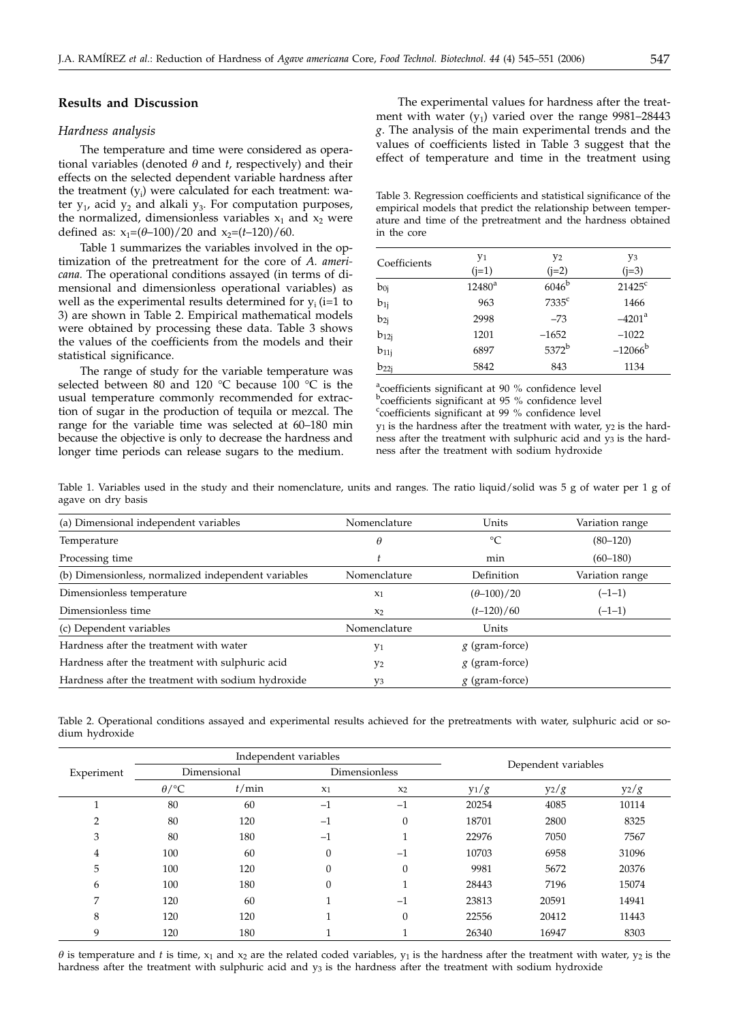# **Results and Discussion**

#### *Hardness analysis*

The temperature and time were considered as operational variables (denoted  $\theta$  and  $t$ , respectively) and their effects on the selected dependent variable hardness after the treatment (yi ) were calculated for each treatment: water  $y_1$ , acid  $y_2$  and alkali  $y_3$ . For computation purposes, the normalized, dimensionless variables  $x_1$  and  $x_2$  were defined as:  $x_1=(\theta-100)/20$  and  $x_2=(t-120)/60$ .

Table 1 summarizes the variables involved in the optimization of the pretreatment for the core of *A. americana.* The operational conditions assayed (in terms of dimensional and dimensionless operational variables) as well as the experimental results determined for  $y_i$  (i=1 to 3) are shown in Table 2. Empirical mathematical models were obtained by processing these data. Table 3 shows the values of the coefficients from the models and their statistical significance.

The range of study for the variable temperature was selected between 80 and 120 °C because 100 °C is the usual temperature commonly recommended for extraction of sugar in the production of tequila or mezcal. The range for the variable time was selected at 60–180 min because the objective is only to decrease the hardness and longer time periods can release sugars to the medium.

The experimental values for hardness after the treatment with water  $(y_1)$  varied over the range 9981–28443 *g*. The analysis of the main experimental trends and the values of coefficients listed in Table 3 suggest that the effect of temperature and time in the treatment using

Table 3. Regression coefficients and statistical significance of the empirical models that predict the relationship between temperature and time of the pretreatment and the hardness obtained in the core

| Coefficients | Y1<br>$(i=1)$ | Y <sub>2</sub><br>$(j=2)$ | y3<br>$(i=3)$   |
|--------------|---------------|---------------------------|-----------------|
| $b_{0j}$     | $12480^a$     | $6046^{\mathrm{b}}$       | $21425^{\circ}$ |
| $b_{1j}$     | 963           | $7335$ <sup>c</sup>       | 1466            |
| $b_{2j}$     | 2998          | $-73$                     | $-4201^a$       |
| $b_{12j}$    | 1201          | $-1652$                   | $-1022$         |
| $b_{11j}$    | 6897          | $5372^b$                  | $-12066^b$      |
| $b_{22j}$    | 5842          | 843                       | 1134            |

<sup>a</sup>coefficients significant at 90 % confidence level <sup>b</sup>coefficients significant at 95 % confidence level coefficients significant at 99 % confidence level  $y_1$  is the hardness after the treatment with water,  $y_2$  is the hardness after the treatment with sulphuric acid and  $y_3$  is the hardness after the treatment with sodium hydroxide

Table 1. Variables used in the study and their nomenclature, units and ranges. The ratio liquid/solid was 5 g of water per 1 g of agave on dry basis

| (a) Dimensional independent variables               | Nomenclature   | Units               | Variation range |
|-----------------------------------------------------|----------------|---------------------|-----------------|
| Temperature                                         | $\theta$       | °C                  | $(80-120)$      |
| Processing time                                     |                | min                 | $(60-180)$      |
| (b) Dimensionless, normalized independent variables | Nomenclature   | Definition          | Variation range |
| Dimensionless temperature                           | $x_1$          | $(\theta - 100)/20$ | $(-1-1)$        |
| Dimensionless time                                  | $x_2$          | $(t-120)/60$        | $(-1-1)$        |
| (c) Dependent variables                             | Nomenclature   | Units               |                 |
| Hardness after the treatment with water             | y <sub>1</sub> | $g$ (gram-force)    |                 |
| Hardness after the treatment with sulphuric acid    | Y <sub>2</sub> | $g$ (gram-force)    |                 |
| Hardness after the treatment with sodium hydroxide  | yз             | $g$ (gram-force)    |                 |

Table 2. Operational conditions assayed and experimental results achieved for the pretreatments with water, sulphuric acid or sodium hydroxide

|            | Independent variables |       |               |          |                     |         |         |
|------------|-----------------------|-------|---------------|----------|---------------------|---------|---------|
| Experiment | Dimensional           |       | Dimensionless |          | Dependent variables |         |         |
|            | $\theta$ /°C          | t/min | $x_1$         | $x_2$    | $y_1/g$             | $y_2/g$ | $y_2/g$ |
|            | 80                    | 60    | $-1$          | $-1$     | 20254               | 4085    | 10114   |
| っ          | 80                    | 120   | $-1$          | $\theta$ | 18701               | 2800    | 8325    |
| 3          | 80                    | 180   | $-1$          | и<br>1   | 22976               | 7050    | 7567    |
| 4          | 100                   | 60    | $\Omega$      | $-1$     | 10703               | 6958    | 31096   |
| 5          | 100                   | 120   | $\Omega$      | $\theta$ | 9981                | 5672    | 20376   |
| 6          | 100                   | 180   |               | и        | 28443               | 7196    | 15074   |
| 7          | 120                   | 60    |               | $-1$     | 23813               | 20591   | 14941   |
| 8          | 120                   | 120   |               | $\theta$ | 22556               | 20412   | 11443   |
| 9          | 120                   | 180   |               |          | 26340               | 16947   | 8303    |

 $\theta$  is temperature and *t* is time, x<sub>1</sub> and x<sub>2</sub> are the related coded variables, y<sub>1</sub> is the hardness after the treatment with water, y<sub>2</sub> is the hardness after the treatment with sulphuric acid and y<sub>3</sub> is the hardness after the treatment with sodium hydroxide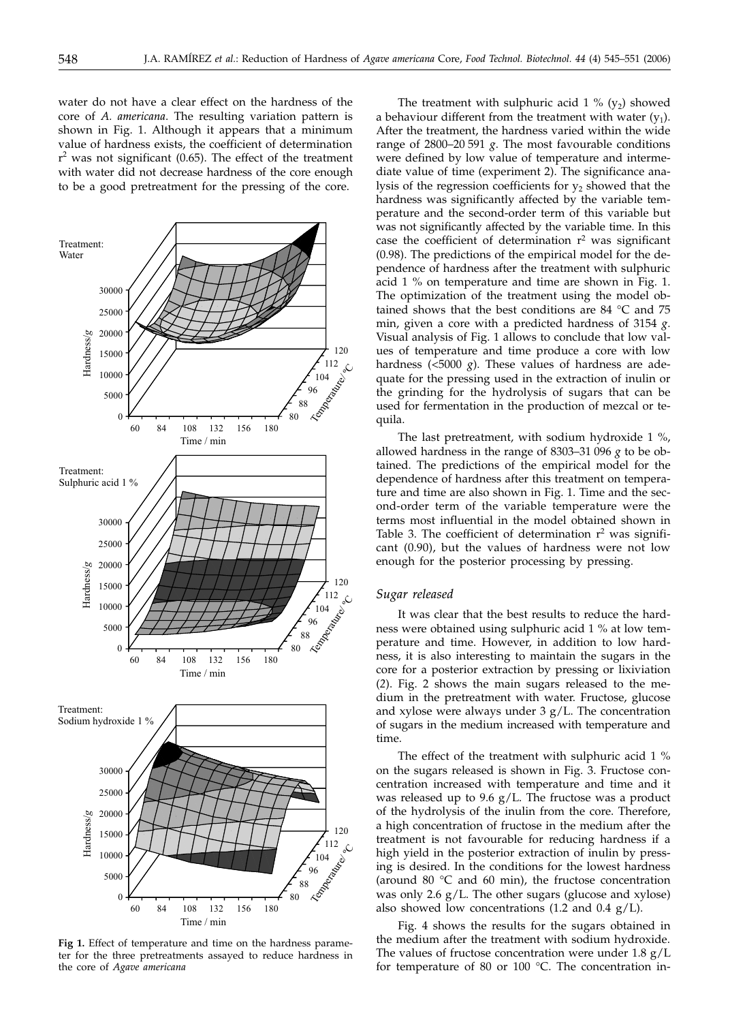water do not have a clear effect on the hardness of the core of *A. americana*. The resulting variation pattern is shown in Fig. 1. Although it appears that a minimum value of hardness exists, the coefficient of determination  $r<sup>2</sup>$  was not significant (0.65). The effect of the treatment with water did not decrease hardness of the core enough to be a good pretreatment for the pressing of the core.



**Fig 1.** Effect of temperature and time on the hardness parameter for the three pretreatments assayed to reduce hardness in the core of *Agave americana*

The treatment with sulphuric acid  $1\%$  (y<sub>2</sub>) showed a behaviour different from the treatment with water  $(y_1)$ . After the treatment, the hardness varied within the wide range of 2800–20 591 *g*. The most favourable conditions were defined by low value of temperature and intermediate value of time (experiment 2). The significance analysis of the regression coefficients for  $y_2$  showed that the hardness was significantly affected by the variable temperature and the second-order term of this variable but was not significantly affected by the variable time. In this case the coefficient of determination  $r^2$  was significant (0.98). The predictions of the empirical model for the dependence of hardness after the treatment with sulphuric acid 1 % on temperature and time are shown in Fig. 1. The optimization of the treatment using the model obtained shows that the best conditions are 84 °C and 75 min, given a core with a predicted hardness of 3154 *g*. Visual analysis of Fig. 1 allows to conclude that low values of temperature and time produce a core with low hardness ( $\lt$ 5000 *g*). These values of hardness are adequate for the pressing used in the extraction of inulin or the grinding for the hydrolysis of sugars that can be used for fermentation in the production of mezcal or tequila.

The last pretreatment, with sodium hydroxide 1 %, allowed hardness in the range of 8303–31 096 *g* to be obtained. The predictions of the empirical model for the dependence of hardness after this treatment on temperature and time are also shown in Fig. 1. Time and the second-order term of the variable temperature were the terms most influential in the model obtained shown in Table 3. The coefficient of determination  $r^2$  was significant (0.90), but the values of hardness were not low enough for the posterior processing by pressing.

#### *Sugar released*

It was clear that the best results to reduce the hardness were obtained using sulphuric acid 1 % at low temperature and time. However, in addition to low hardness, it is also interesting to maintain the sugars in the core for a posterior extraction by pressing or lixiviation (*2*). Fig. 2 shows the main sugars released to the medium in the pretreatment with water. Fructose, glucose and xylose were always under  $3 g/L$ . The concentration of sugars in the medium increased with temperature and time.

The effect of the treatment with sulphuric acid 1 % on the sugars released is shown in Fig. 3. Fructose concentration increased with temperature and time and it was released up to 9.6 g/L. The fructose was a product of the hydrolysis of the inulin from the core. Therefore, a high concentration of fructose in the medium after the treatment is not favourable for reducing hardness if a high yield in the posterior extraction of inulin by pressing is desired. In the conditions for the lowest hardness (around 80  $\degree$ C and 60 min), the fructose concentration was only 2.6 g/L. The other sugars (glucose and xylose) also showed low concentrations (1.2 and 0.4  $g/L$ ).

Fig. 4 shows the results for the sugars obtained in the medium after the treatment with sodium hydroxide. The values of fructose concentration were under  $1.8 \text{ g}/L$ for temperature of 80 or 100 °C. The concentration in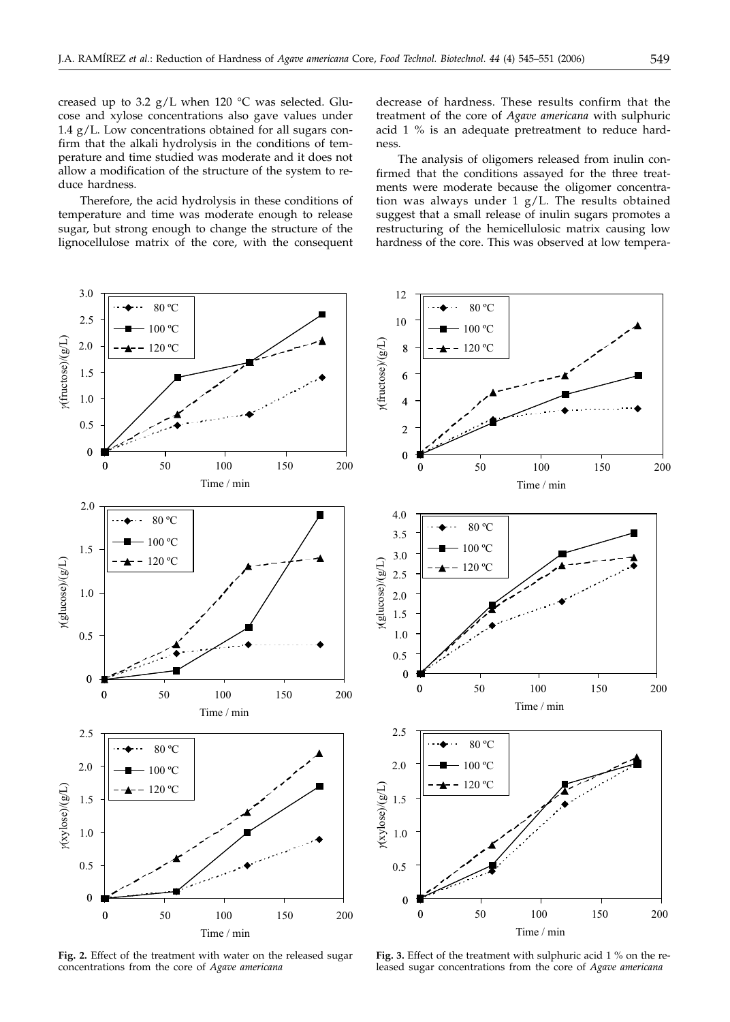creased up to 3.2  $g/L$  when 120 °C was selected. Glucose and xylose concentrations also gave values under 1.4 g/L. Low concentrations obtained for all sugars confirm that the alkali hydrolysis in the conditions of temperature and time studied was moderate and it does not allow a modification of the structure of the system to reduce hardness.

Therefore, the acid hydrolysis in these conditions of temperature and time was moderate enough to release sugar, but strong enough to change the structure of the lignocellulose matrix of the core, with the consequent decrease of hardness. These results confirm that the treatment of the core of *Agave americana* with sulphuric acid 1 % is an adequate pretreatment to reduce hardness.

The analysis of oligomers released from inulin confirmed that the conditions assayed for the three treatments were moderate because the oligomer concentration was always under 1 g/L. The results obtained suggest that a small release of inulin sugars promotes a restructuring of the hemicellulosic matrix causing low hardness of the core. This was observed at low tempera-



**Fig. 2.** Effect of the treatment with water on the released sugar concentrations from the core of *Agave americana*

**Fig. 3.** Effect of the treatment with sulphuric acid 1 % on the released sugar concentrations from the core of *Agave americana*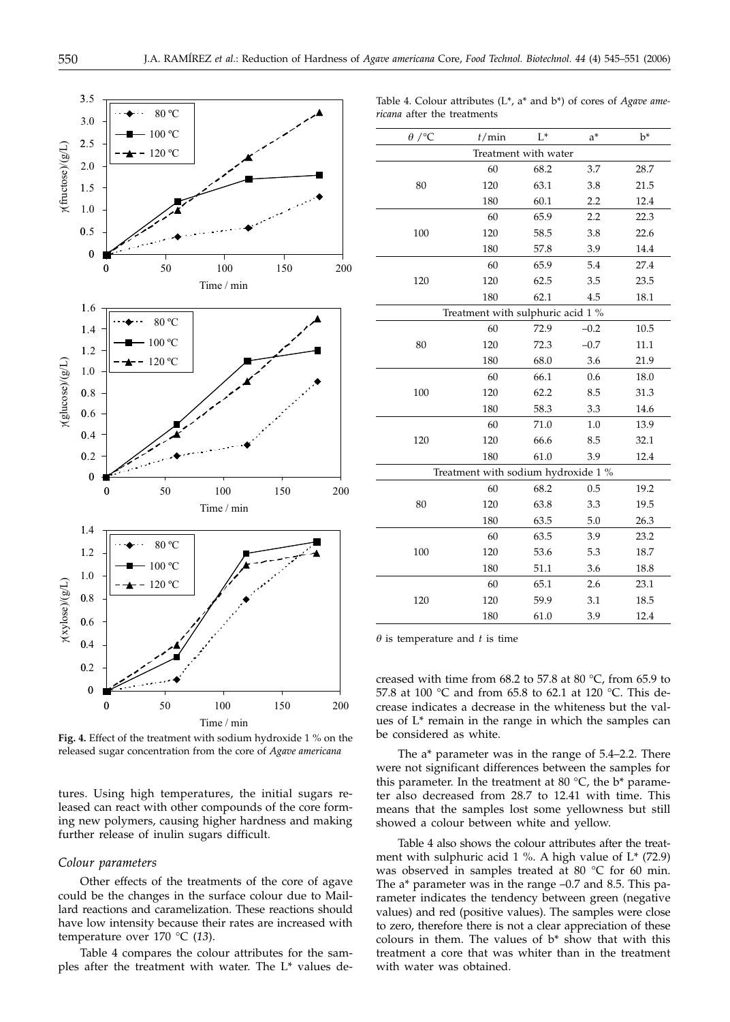

**Fig. 4.** Effect of the treatment with sodium hydroxide 1 % on the released sugar concentration from the core of *Agave americana*

tures. Using high temperatures, the initial sugars released can react with other compounds of the core forming new polymers, causing higher hardness and making further release of inulin sugars difficult.

# *Colour parameters*

Other effects of the treatments of the core of agave could be the changes in the surface colour due to Maillard reactions and caramelization. These reactions should have low intensity because their rates are increased with temperature over 170 °C (*13*).

Table 4 compares the colour attributes for the samples after the treatment with water. The L\* values de-

Table 4. Colour attributes (L\*, a\* and b\*) of cores of *Agave americana* after the treatments

| $\theta$ /°C                        | t/min                             | $L^*$ | $a^*$  | $b^*$ |  |
|-------------------------------------|-----------------------------------|-------|--------|-------|--|
| Treatment with water                |                                   |       |        |       |  |
|                                     | 60                                | 68.2  | 3.7    | 28.7  |  |
| 80                                  | 120                               | 63.1  | 3.8    | 21.5  |  |
|                                     | 180                               | 60.1  | 2.2    | 12.4  |  |
|                                     | 60                                | 65.9  | 2.2    | 22.3  |  |
| 100                                 | 120                               | 58.5  | 3.8    | 22.6  |  |
|                                     | 180                               | 57.8  | 3.9    | 14.4  |  |
|                                     | 60                                | 65.9  | 5.4    | 27.4  |  |
| 120                                 | 120                               | 62.5  | 3.5    | 23.5  |  |
|                                     | 180                               | 62.1  | 4.5    | 18.1  |  |
|                                     | Treatment with sulphuric acid 1 % |       |        |       |  |
|                                     | 60                                | 72.9  | $-0.2$ | 10.5  |  |
| 80                                  | 120                               | 72.3  | $-0.7$ | 11.1  |  |
|                                     | 180                               | 68.0  | 3.6    | 21.9  |  |
|                                     | 60                                | 66.1  | 0.6    | 18.0  |  |
| 100                                 | 120                               | 62.2  | 8.5    | 31.3  |  |
|                                     | 180                               | 58.3  | 3.3    | 14.6  |  |
|                                     | 60                                | 71.0  | 1.0    | 13.9  |  |
| 120                                 | 120                               | 66.6  | 8.5    | 32.1  |  |
|                                     | 180                               | 61.0  | 3.9    | 12.4  |  |
| Treatment with sodium hydroxide 1 % |                                   |       |        |       |  |
|                                     | 60                                | 68.2  | 0.5    | 19.2  |  |
| 80                                  | 120                               | 63.8  | 3.3    | 19.5  |  |
|                                     | 180                               | 63.5  | 5.0    | 26.3  |  |
|                                     | 60                                | 63.5  | 3.9    | 23.2  |  |
| 100                                 | 120                               | 53.6  | 5.3    | 18.7  |  |
|                                     | 180                               | 51.1  | 3.6    | 18.8  |  |
|                                     | 60                                | 65.1  | 2.6    | 23.1  |  |
| 120                                 | 120                               | 59.9  | 3.1    | 18.5  |  |
|                                     | 180                               | 61.0  | 3.9    | 12.4  |  |
|                                     |                                   |       |        |       |  |

 $\theta$  is temperature and  $t$  is time

creased with time from 68.2 to 57.8 at 80 °C, from 65.9 to 57.8 at 100 °C and from 65.8 to 62.1 at 120 °C. This decrease indicates a decrease in the whiteness but the values of L\* remain in the range in which the samples can be considered as white.

The a\* parameter was in the range of 5.4–2.2. There were not significant differences between the samples for this parameter. In the treatment at 80  $^{\circ}$ C, the b<sup>\*</sup> parameter also decreased from 28.7 to 12.41 with time. This means that the samples lost some yellowness but still showed a colour between white and yellow.

Table 4 also shows the colour attributes after the treatment with sulphuric acid 1 %. A high value of L\* (72.9) was observed in samples treated at 80 °C for 60 min. The a\* parameter was in the range –0.7 and 8.5. This parameter indicates the tendency between green (negative values) and red (positive values). The samples were close to zero, therefore there is not a clear appreciation of these colours in them. The values of  $b^*$  show that with this treatment a core that was whiter than in the treatment with water was obtained.